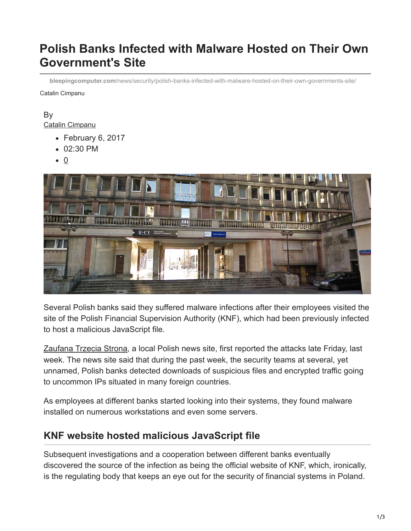# **Polish Banks Infected with Malware Hosted on Their Own Government's Site**

**bleepingcomputer.com**[/news/security/polish-banks-infected-with-malware-hosted-on-their-own-governments-site/](https://www.bleepingcomputer.com/news/security/polish-banks-infected-with-malware-hosted-on-their-own-governments-site/)

Catalin Cimpanu

#### By [Catalin Cimpanu](https://www.bleepingcomputer.com/author/catalin-cimpanu/)

- February 6, 2017
- 02:30 PM
- $\bullet$  0



Several Polish banks said they suffered malware infections after their employees visited the site of the Polish Financial Supervision Authority (KNF), which had been previously infected to host a malicious JavaScript file.

[Zaufana Trzecia Strona,](https://zaufanatrzeciastrona.pl/post/wlamania-do-kilku-bankow-skutkiem-powaznego-ataku-na-polski-sektor-finansowy/) a local Polish news site, first reported the attacks late Friday, last week. The news site said that during the past week, the security teams at several, yet unnamed, Polish banks detected downloads of suspicious files and encrypted traffic going to uncommon IPs situated in many foreign countries.

As employees at different banks started looking into their systems, they found malware installed on numerous workstations and even some servers.

# **KNF website hosted malicious JavaScript file**

Subsequent investigations and a cooperation between different banks eventually discovered the source of the infection as being the official website of KNF, which, ironically, is the regulating body that keeps an eye out for the security of financial systems in Poland.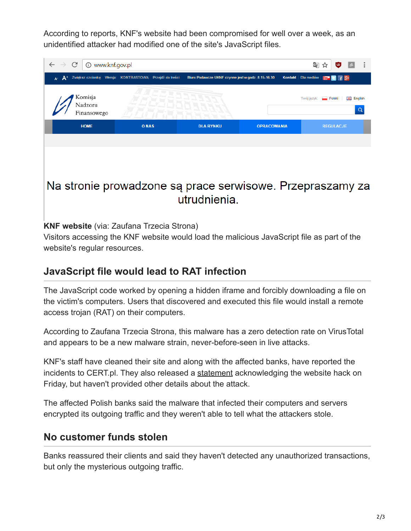According to reports, KNF's website had been compromised for well over a week, as an unidentified attacker had modified one of the site's JavaScript files.

| $\mathcal{C}$<br>10 www.knf.gov.pl<br>$\rightarrow$ |                                                        |                                                    |                    | G <sub>K</sub><br>க<br>☆                     |  |
|-----------------------------------------------------|--------------------------------------------------------|----------------------------------------------------|--------------------|----------------------------------------------|--|
| $A^+$<br>A <sup>-</sup>                             | Zwiększ czcionkę Wersja: KONTRASTOWA Przejdź do treści | Biuro Podawcze UKNF czynne jest w godz. 8.15-16.30 |                    |                                              |  |
| Komisja<br>Nadzoru<br>Finansowego                   |                                                        |                                                    |                    | 품품 English<br>Twój język: Polski<br>$\Omega$ |  |
| <b>HOME</b>                                         | <b>ONAS</b>                                            | <b>DLA RYNKU</b>                                   | <b>OPRACOWANIA</b> | <b>REGULACJE</b>                             |  |
|                                                     |                                                        |                                                    |                    |                                              |  |

# Na stronie prowadzone są prace serwisowe. Przepraszamy za utrudnienia.

### **KNF website** (via: Zaufana Trzecia Strona)

Visitors accessing the KNF website would load the malicious JavaScript file as part of the website's regular resources.

# **JavaScript file would lead to RAT infection**

The JavaScript code worked by opening a hidden iframe and forcibly downloading a file on the victim's computers. Users that discovered and executed this file would install a remote access trojan (RAT) on their computers.

According to Zaufana Trzecia Strona, this malware has a zero detection rate on VirusTotal and appears to be a new malware strain, never-before-seen in live attacks.

KNF's staff have cleaned their site and along with the affected banks, have reported the incidents to CERT.pl. They also released a [statement](http://www.cashless.pl/wiadomosci/bezpieczenstwo/2243-knf-zrodlem-cyberinfekcji-sektora-finansowego-bankowcy-uspokajaja-pieniadze-klientow-sa-bezpieczne) acknowledging the website hack on Friday, but haven't provided other details about the attack.

The affected Polish banks said the malware that infected their computers and servers encrypted its outgoing traffic and they weren't able to tell what the attackers stole.

# **No customer funds stolen**

Banks reassured their clients and said they haven't detected any unauthorized transactions, but only the mysterious outgoing traffic.